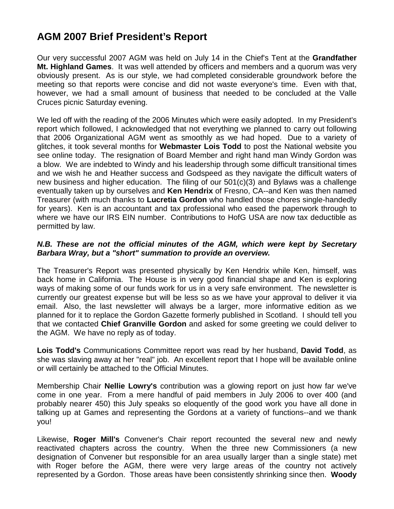## **AGM 2007 Brief President's Report**

Our very successful 2007 AGM was held on July 14 in the Chief's Tent at the **Grandfather Mt. Highland Games**. It was well attended by officers and members and a quorum was very obviously present. As is our style, we had completed considerable groundwork before the meeting so that reports were concise and did not waste everyone's time. Even with that, however, we had a small amount of business that needed to be concluded at the Valle Cruces picnic Saturday evening.

We led off with the reading of the 2006 Minutes which were easily adopted. In my President's report which followed, I acknowledged that not everything we planned to carry out following that 2006 Organizational AGM went as smoothly as we had hoped. Due to a variety of glitches, it took several months for **Webmaster Lois Todd** to post the National website you see online today. The resignation of Board Member and right hand man Windy Gordon was a blow. We are indebted to Windy and his leadership through some difficult transitional times and we wish he and Heather success and Godspeed as they navigate the difficult waters of new business and higher education. The filing of our 501(c)(3) and Bylaws was a challenge eventually taken up by ourselves and **Ken Hendrix** of Fresno, CA--and Ken was then named Treasurer (with much thanks to **Lucretia Gordon** who handled those chores single-handedly for years). Ken is an accountant and tax professional who eased the paperwork through to where we have our IRS EIN number. Contributions to HofG USA are now tax deductible as permitted by law.

## *N.B. These are not the official minutes of the AGM, which were kept by Secretary Barbara Wray, but a "short" summation to provide an overview.*

The Treasurer's Report was presented physically by Ken Hendrix while Ken, himself, was back home in California. The House is in very good financial shape and Ken is exploring ways of making some of our funds work for us in a very safe environment. The newsletter is currently our greatest expense but will be less so as we have your approval to deliver it via email. Also, the last newsletter will always be a larger, more informative edition as we planned for it to replace the Gordon Gazette formerly published in Scotland. I should tell you that we contacted **Chief Granville Gordon** and asked for some greeting we could deliver to the AGM. We have no reply as of today.

**Lois Todd's** Communications Committee report was read by her husband, **David Todd**, as she was slaving away at her "real" job. An excellent report that I hope will be available online or will certainly be attached to the Official Minutes.

Membership Chair **Nellie Lowry's** contribution was a glowing report on just how far we've come in one year. From a mere handful of paid members in July 2006 to over 400 (and probably nearer 450) this July speaks so eloquently of the good work you have all done in talking up at Games and representing the Gordons at a variety of functions--and we thank you!

Likewise, **Roger Mill's** Convener's Chair report recounted the several new and newly reactivated chapters across the country. When the three new Commissioners (a new designation of Convener but responsible for an area usually larger than a single state) met with Roger before the AGM, there were very large areas of the country not actively represented by a Gordon. Those areas have been consistently shrinking since then. **Woody**